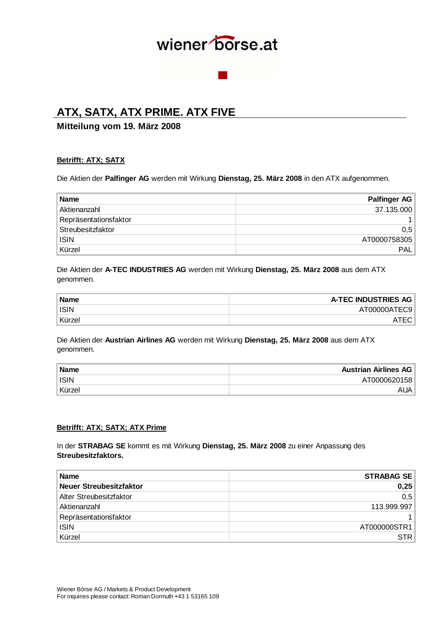## **ATX, SATX, ATX PRIME. ATX FIVE**

## **Mitteilung vom 19. März 2008**

### **Betrifft: ATX; SATX**

Die Aktien der **Palfinger AG** werden mit Wirkung **Dienstag, 25. März 2008** in den ATX aufgenommen.

| <b>Name</b>           | <b>Palfinger AG</b> |
|-----------------------|---------------------|
| Aktienanzahl          | 37.135.000          |
| Repräsentationsfaktor |                     |
| Streubesitzfaktor     | 0,5                 |
| <b>ISIN</b>           | AT0000758305        |
| Kürzel                | <b>PAL</b>          |

Die Aktien der **A-TEC INDUSTRIES AG** werden mit Wirkung **Dienstag, 25. März 2008** aus dem ATX genommen.

| <b>Name</b> | A-TEC INDUSTRIES AG |
|-------------|---------------------|
| ISIN        | AT00000ATEC9        |
| Kürzel      |                     |

Die Aktien der **Austrian Airlines AG** werden mit Wirkung **Dienstag, 25. März 2008** aus dem ATX genommen.

| <b>Name</b> | <b>Austrian Airlines AG</b> |
|-------------|-----------------------------|
| <b>ISIN</b> | AT0000620158                |
| ™Kürzel     | aua i                       |

#### **Betrifft: ATX; SATX; ATX Prime**

In der **STRABAG SE** kommt es mit Wirkung **Dienstag, 25. März 2008** zu einer Anpassung des **Streubesitzfaktors.**

| <b>Name</b>             | <b>STRABAG SE</b> |
|-------------------------|-------------------|
| Neuer Streubesitzfaktor | 0,25              |
| Alter Streubesitzfaktor | 0,5               |
| Aktienanzahl            | 113.999.997       |
| Repräsentationsfaktor   |                   |
| <b>ISIN</b>             | AT000000STR1      |
| Kürzel                  | STR               |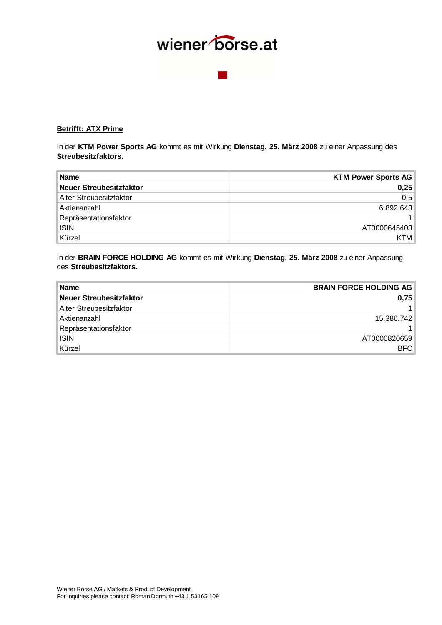### **Betrifft: ATX Prime**

In der **KTM Power Sports AG** kommt es mit Wirkung **Dienstag, 25. März 2008** zu einer Anpassung des **Streubesitzfaktors.**

| <b>Name</b>             | <b>KTM Power Sports AG</b> |
|-------------------------|----------------------------|
| Neuer Streubesitzfaktor | 0,25                       |
| Alter Streubesitzfaktor | 0,5                        |
| Aktienanzahl            | 6.892.643                  |
| Repräsentationsfaktor   |                            |
| <b>ISIN</b>             | AT0000645403               |
| Kürzel                  | <b>KTM</b>                 |

In der **BRAIN FORCE HOLDING AG** kommt es mit Wirkung **Dienstag, 25. März 2008** zu einer Anpassung des **Streubesitzfaktors.**

| <b>Name</b>             | <b>BRAIN FORCE HOLDING AG</b> |
|-------------------------|-------------------------------|
| Neuer Streubesitzfaktor | 0,75                          |
| Alter Streubesitzfaktor |                               |
| Aktienanzahl            | 15.386.742                    |
| Repräsentationsfaktor   |                               |
| <b>ISIN</b>             | AT0000820659                  |
| Kürzel                  | <b>BFC</b>                    |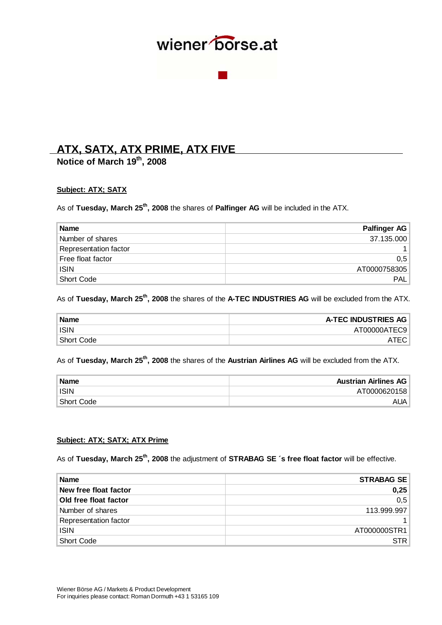## **ATX, SATX, ATX PRIME, ATX FIVE**

**Notice of March 19th, 2008** 

### **Subject: ATX; SATX**

As of **Tuesday, March 25<sup>th</sup>, 2008** the shares of **Palfinger AG** will be included in the ATX.

| <b>Name</b>           | Palfinger AG     |
|-----------------------|------------------|
| Number of shares      | 37.135.000       |
| Representation factor |                  |
| Free float factor     | 0.5              |
| <b>ISIN</b>           | AT0000758305     |
| Short Code            | PAL <sup>1</sup> |

## As of **Tuesday, March 25<sup>th</sup>, 2008** the shares of the **A-TEC INDUSTRIES AG** will be excluded from the ATX.

| <b>Name</b> | <b>A-TEC INDUSTRIES AG</b> |
|-------------|----------------------------|
| <b>ISIN</b> | AT00000ATEC9               |
| Short Code  |                            |

## As of **Tuesday, March 25th, 2008** the shares of the **Austrian Airlines AG** will be excluded from the ATX.

| <b>Name</b> | <b>Austrian Airlines AG</b> |
|-------------|-----------------------------|
| <b>ISIN</b> | AT0000620158                |
| Short Code  | AUA I                       |

#### **Subject: ATX; SATX; ATX Prime**

As of **Tuesday, March 25<sup>th</sup>, 2008** the adjustment of **STRABAG SE** 's free float factor will be effective.

| <b>Name</b>           | <b>STRABAG SE</b> |
|-----------------------|-------------------|
| New free float factor | 0,25              |
| Old free float factor | 0,5               |
| Number of shares      | 113.999.997       |
| Representation factor | 1 <sup>1</sup>    |
| <b>ISIN</b>           | AT000000STR1      |
| Short Code            | STR               |